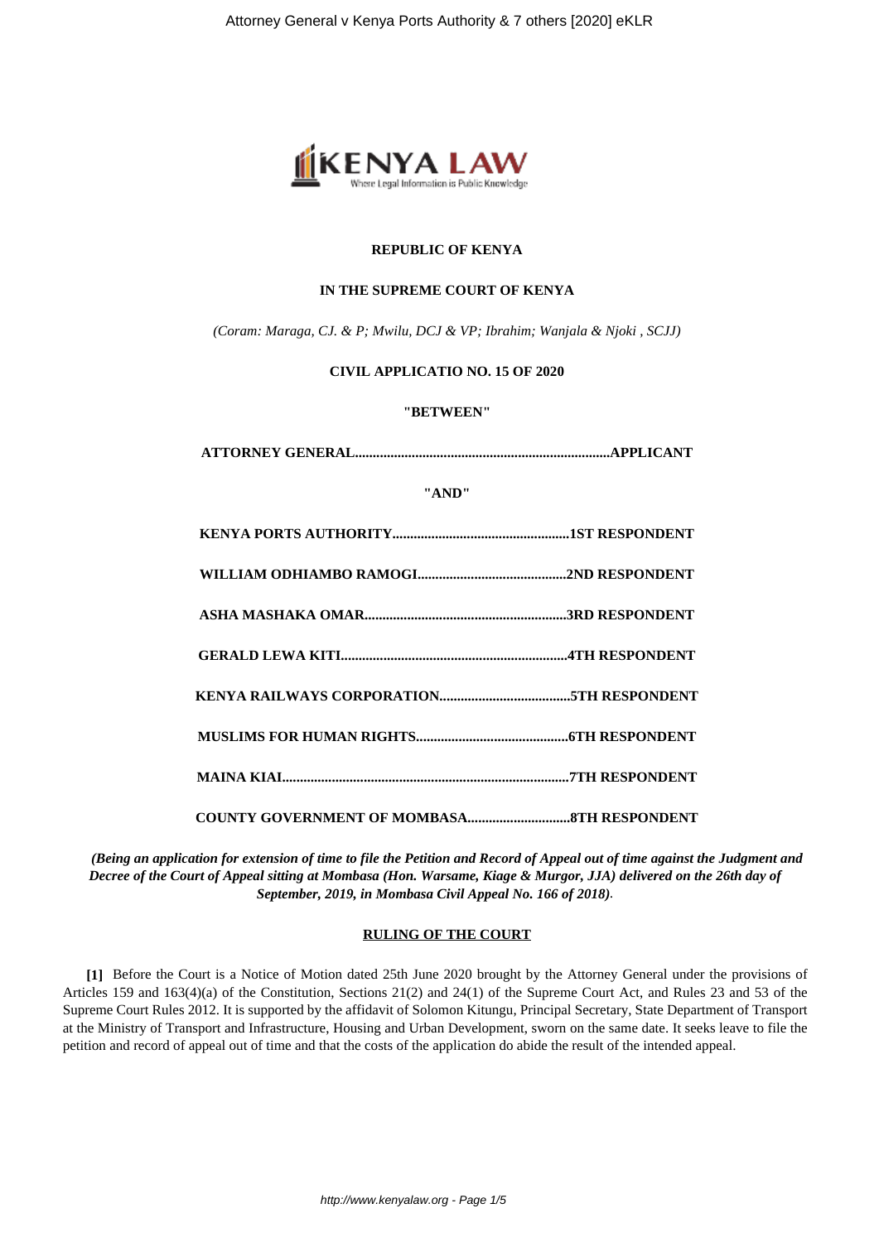

## **REPUBLIC OF KENYA**

## **IN THE SUPREME COURT OF KENYA**

*(Coram: Maraga, CJ. & P; Mwilu, DCJ & VP; Ibrahim; Wanjala & Njoki , SCJJ)*

## **CIVIL APPLICATIO NO. 15 OF 2020**

## **"BETWEEN"**

| "AND" |  |
|-------|--|
|       |  |
|       |  |
|       |  |
|       |  |
|       |  |
|       |  |
|       |  |
|       |  |

*(Being an application for extension of time to file the Petition and Record of Appeal out of time against the Judgment and Decree of the Court of Appeal sitting at Mombasa (Hon. Warsame, Kiage & Murgor, JJA) delivered on the 26th day of September, 2019, in Mombasa Civil Appeal No. 166 of 2018).*

## **RULING OF THE COURT**

**[1]** Before the Court is a Notice of Motion dated 25th June 2020 brought by the Attorney General under the provisions of Articles 159 and 163(4)(a) of the Constitution, Sections 21(2) and 24(1) of the Supreme Court Act, and Rules 23 and 53 of the Supreme Court Rules 2012. It is supported by the affidavit of Solomon Kitungu, Principal Secretary, State Department of Transport at the Ministry of Transport and Infrastructure, Housing and Urban Development, sworn on the same date. It seeks leave to file the petition and record of appeal out of time and that the costs of the application do abide the result of the intended appeal.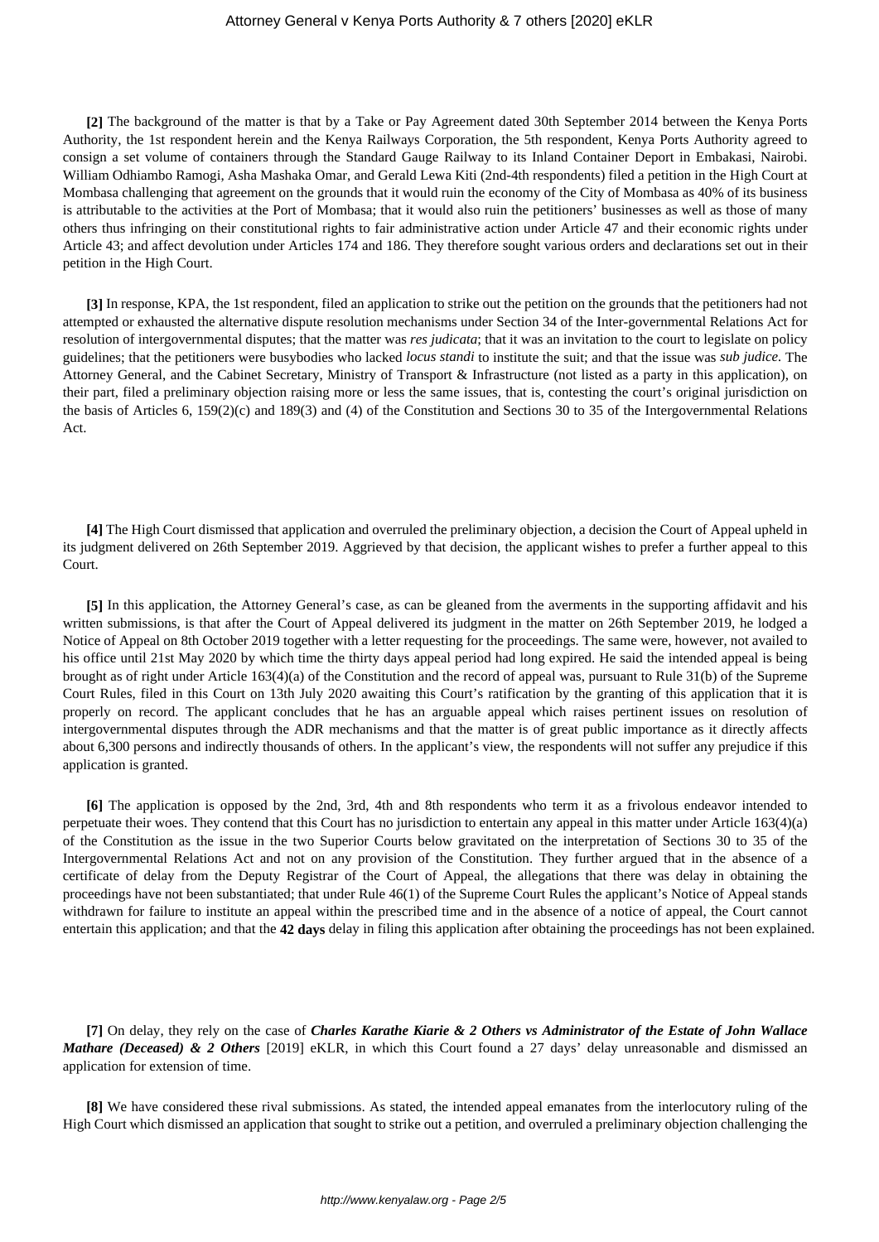### Attorney General v Kenya Ports Authority & 7 others [2020] eKLR

**[2]** The background of the matter is that by a Take or Pay Agreement dated 30th September 2014 between the Kenya Ports Authority, the 1st respondent herein and the Kenya Railways Corporation, the 5th respondent, Kenya Ports Authority agreed to consign a set volume of containers through the Standard Gauge Railway to its Inland Container Deport in Embakasi, Nairobi. William Odhiambo Ramogi, Asha Mashaka Omar, and Gerald Lewa Kiti (2nd-4th respondents) filed a petition in the High Court at Mombasa challenging that agreement on the grounds that it would ruin the economy of the City of Mombasa as 40% of its business is attributable to the activities at the Port of Mombasa; that it would also ruin the petitioners' businesses as well as those of many others thus infringing on their constitutional rights to fair administrative action under Article 47 and their economic rights under Article 43; and affect devolution under Articles 174 and 186. They therefore sought various orders and declarations set out in their petition in the High Court.

**[3]** In response, KPA, the 1st respondent, filed an application to strike out the petition on the grounds that the petitioners had not attempted or exhausted the alternative dispute resolution mechanisms under Section 34 of the Inter-governmental Relations Act for resolution of intergovernmental disputes; that the matter was *res judicata*; that it was an invitation to the court to legislate on policy guidelines; that the petitioners were busybodies who lacked *locus standi* to institute the suit; and that the issue was *sub judice.* The Attorney General, and the Cabinet Secretary, Ministry of Transport & Infrastructure (not listed as a party in this application), on their part, filed a preliminary objection raising more or less the same issues, that is, contesting the court's original jurisdiction on the basis of Articles 6, 159(2)(c) and 189(3) and (4) of the Constitution and Sections 30 to 35 of the Intergovernmental Relations Act.

**[4]** The High Court dismissed that application and overruled the preliminary objection, a decision the Court of Appeal upheld in its judgment delivered on 26th September 2019. Aggrieved by that decision, the applicant wishes to prefer a further appeal to this Court.

**[5]** In this application, the Attorney General's case, as can be gleaned from the averments in the supporting affidavit and his written submissions, is that after the Court of Appeal delivered its judgment in the matter on 26th September 2019, he lodged a Notice of Appeal on 8th October 2019 together with a letter requesting for the proceedings. The same were, however, not availed to his office until 21st May 2020 by which time the thirty days appeal period had long expired. He said the intended appeal is being brought as of right under Article 163(4)(a) of the Constitution and the record of appeal was, pursuant to Rule 31(b) of the Supreme Court Rules, filed in this Court on 13th July 2020 awaiting this Court's ratification by the granting of this application that it is properly on record. The applicant concludes that he has an arguable appeal which raises pertinent issues on resolution of intergovernmental disputes through the ADR mechanisms and that the matter is of great public importance as it directly affects about 6,300 persons and indirectly thousands of others. In the applicant's view, the respondents will not suffer any prejudice if this application is granted.

**[6]** The application is opposed by the 2nd, 3rd, 4th and 8th respondents who term it as a frivolous endeavor intended to perpetuate their woes. They contend that this Court has no jurisdiction to entertain any appeal in this matter under Article 163(4)(a) of the Constitution as the issue in the two Superior Courts below gravitated on the interpretation of Sections 30 to 35 of the Intergovernmental Relations Act and not on any provision of the Constitution. They further argued that in the absence of a certificate of delay from the Deputy Registrar of the Court of Appeal, the allegations that there was delay in obtaining the proceedings have not been substantiated; that under Rule 46(1) of the Supreme Court Rules the applicant's Notice of Appeal stands withdrawn for failure to institute an appeal within the prescribed time and in the absence of a notice of appeal, the Court cannot entertain this application; and that the **42 days** delay in filing this application after obtaining the proceedings has not been explained.

**[7]** On delay, they rely on the case of *Charles Karathe Kiarie & 2 Others vs Administrator of the Estate of John Wallace Mathare (Deceased) & 2 Others* [2019] eKLR, in which this Court found a 27 days' delay unreasonable and dismissed an application for extension of time.

**[8]** We have considered these rival submissions. As stated, the intended appeal emanates from the interlocutory ruling of the High Court which dismissed an application that sought to strike out a petition, and overruled a preliminary objection challenging the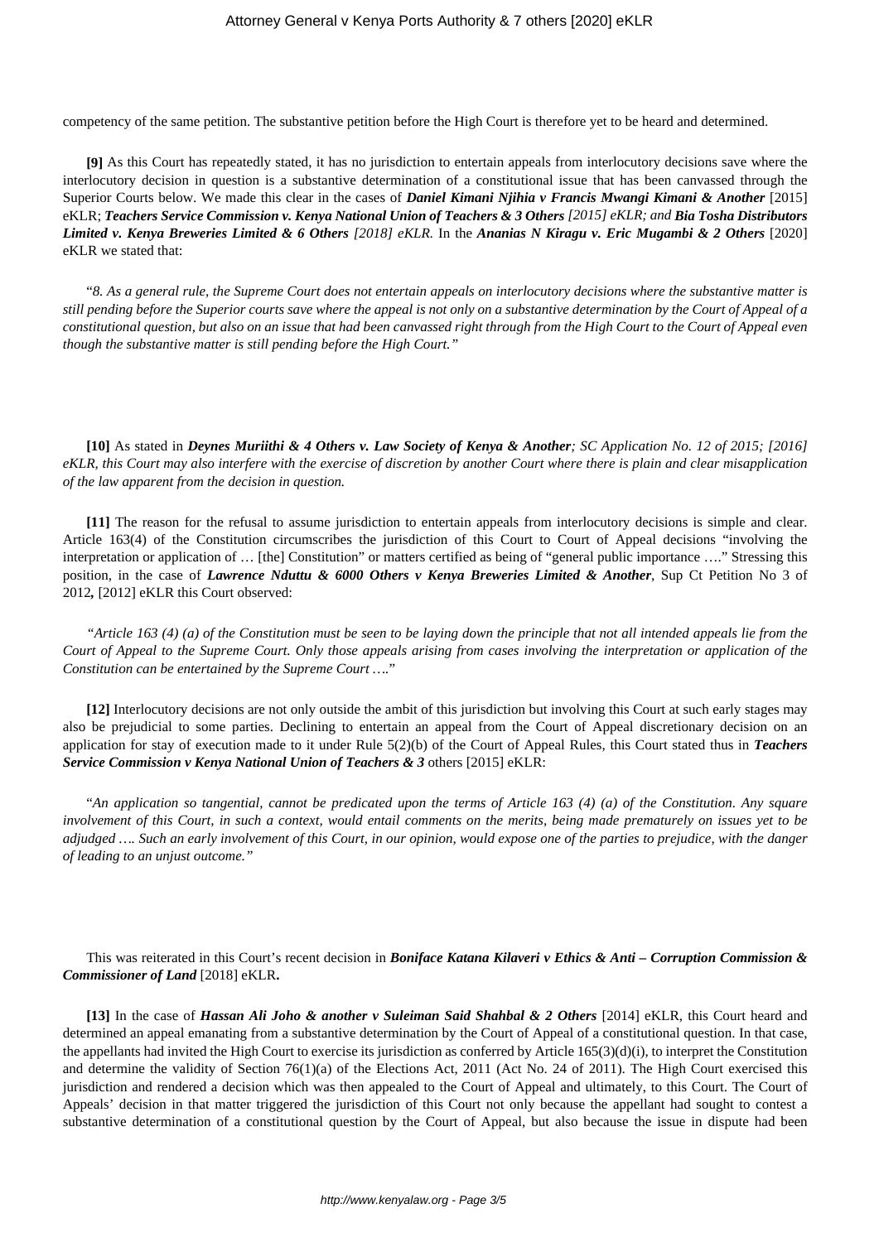competency of the same petition. The substantive petition before the High Court is therefore yet to be heard and determined.

**[9]** As this Court has repeatedly stated, it has no jurisdiction to entertain appeals from interlocutory decisions save where the interlocutory decision in question is a substantive determination of a constitutional issue that has been canvassed through the Superior Courts below. We made this clear in the cases of *Daniel Kimani Njihia v Francis Mwangi Kimani & Another* [2015] eKLR; *Teachers Service Commission v. Kenya National Union of Teachers & 3 Others [2015] eKLR; and Bia Tosha Distributors Limited v. Kenya Breweries Limited & 6 Others [2018] eKLR.* In the *Ananias N Kiragu v. Eric Mugambi & 2 Others* [2020] eKLR we stated that:

"*8. As a general rule, the Supreme Court does not entertain appeals on interlocutory decisions where the substantive matter is still pending before the Superior courts save where the appeal is not only on a substantive determination by the Court of Appeal of a constitutional question, but also on an issue that had been canvassed right through from the High Court to the Court of Appeal even though the substantive matter is still pending before the High Court."*

**[10]** As stated in *Deynes Muriithi & 4 Others v. Law Society of Kenya & Another; SC Application No. 12 of 2015; [2016] eKLR, this Court may also interfere with the exercise of discretion by another Court where there is plain and clear misapplication of the law apparent from the decision in question.*

**[11]** The reason for the refusal to assume jurisdiction to entertain appeals from interlocutory decisions is simple and clear. Article 163(4) of the Constitution circumscribes the jurisdiction of this Court to Court of Appeal decisions "involving the interpretation or application of … [the] Constitution" or matters certified as being of "general public importance …." Stressing this position, in the case of *Lawrence Nduttu & 6000 Others v Kenya Breweries Limited & Another*, Sup Ct Petition No 3 of 2012*,* [2012] eKLR this Court observed:

*"Article 163 (4) (a) of the Constitution must be seen to be laying down the principle that not all intended appeals lie from the Court of Appeal to the Supreme Court. Only those appeals arising from cases involving the interpretation or application of the Constitution can be entertained by the Supreme Court ….*"

**[12]** Interlocutory decisions are not only outside the ambit of this jurisdiction but involving this Court at such early stages may also be prejudicial to some parties. Declining to entertain an appeal from the Court of Appeal discretionary decision on an application for stay of execution made to it under Rule 5(2)(b) of the Court of Appeal Rules, this Court stated thus in *Teachers Service Commission v Kenya National Union of Teachers & 3* others [2015] eKLR:

"*An application so tangential, cannot be predicated upon the terms of Article 163 (4) (a) of the Constitution. Any square involvement of this Court, in such a context, would entail comments on the merits, being made prematurely on issues yet to be adjudged …. Such an early involvement of this Court, in our opinion, would expose one of the parties to prejudice, with the danger of leading to an unjust outcome."*

This was reiterated in this Court's recent decision in *Boniface Katana Kilaveri v Ethics & Anti – Corruption Commission & Commissioner of Land* [2018] eKLR**.**

**[13]** In the case of *Hassan Ali Joho & another v Suleiman Said Shahbal & 2 Others* [2014] eKLR, this Court heard and determined an appeal emanating from a substantive determination by the Court of Appeal of a constitutional question. In that case, the appellants had invited the High Court to exercise its jurisdiction as conferred by Article 165(3)(d)(i), to interpret the Constitution and determine the validity of Section 76(1)(a) of the Elections Act, 2011 (Act No. 24 of 2011). The High Court exercised this jurisdiction and rendered a decision which was then appealed to the Court of Appeal and ultimately, to this Court. The Court of Appeals' decision in that matter triggered the jurisdiction of this Court not only because the appellant had sought to contest a substantive determination of a constitutional question by the Court of Appeal, but also because the issue in dispute had been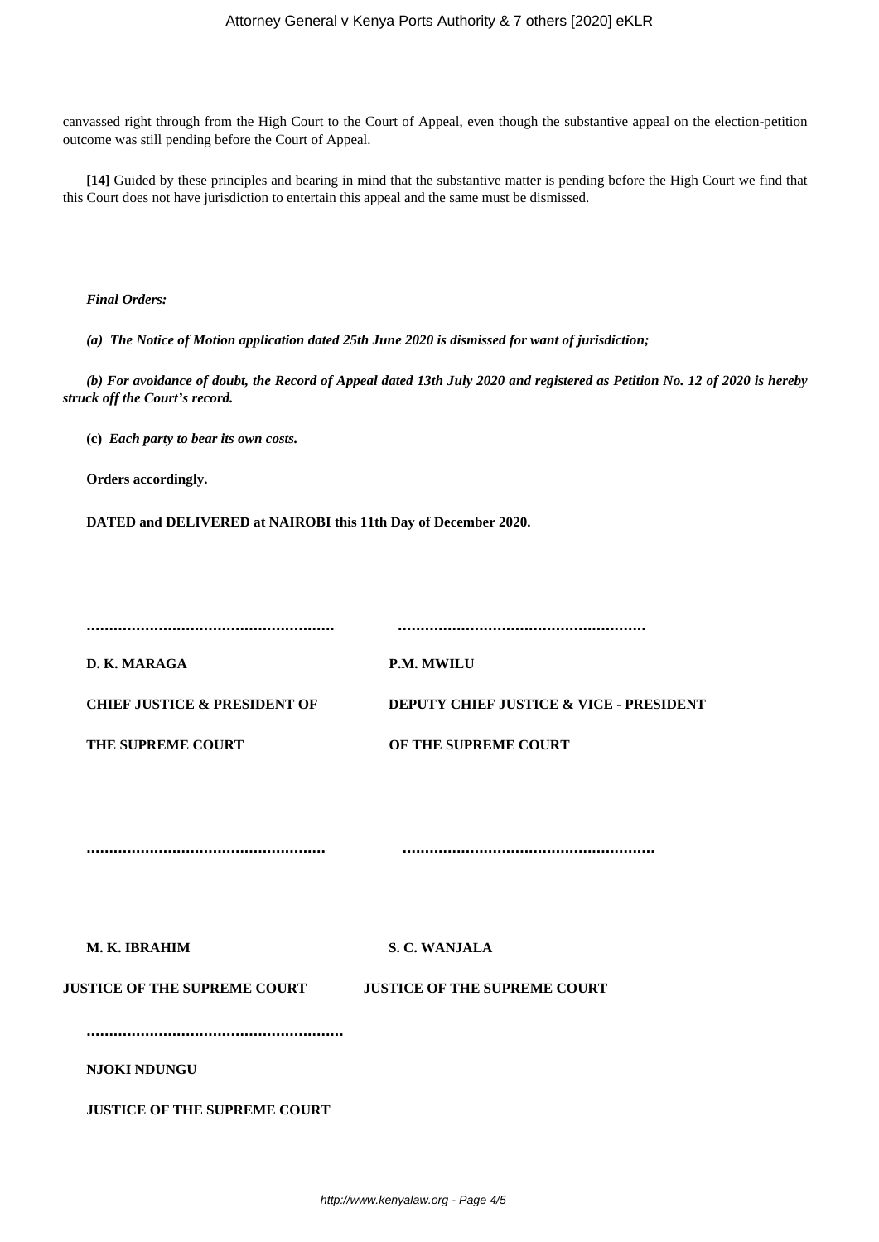canvassed right through from the High Court to the Court of Appeal, even though the substantive appeal on the election-petition outcome was still pending before the Court of Appeal.

**[14]** Guided by these principles and bearing in mind that the substantive matter is pending before the High Court we find that this Court does not have jurisdiction to entertain this appeal and the same must be dismissed.

## *Final Orders:*

*(a) The Notice of Motion application dated 25th June 2020 is dismissed for want of jurisdiction;*

*(b) For avoidance of doubt, the Record of Appeal dated 13th July 2020 and registered as Petition No. 12 of 2020 is hereby struck off the Court's record.*

**(c)** *Each party to bear its own costs.*

**Orders accordingly.**

**DATED and DELIVERED at NAIROBI this 11th Day of December 2020.**

| D. K. MARAGA                            | <b>P.M. MWILU</b>                                  |
|-----------------------------------------|----------------------------------------------------|
| <b>CHIEF JUSTICE &amp; PRESIDENT OF</b> | <b>DEPUTY CHIEF JUSTICE &amp; VICE - PRESIDENT</b> |
| THE SUPREME COURT                       | OF THE SUPREME COURT                               |
|                                         |                                                    |
|                                         |                                                    |

**..................................................... ........................................................**

**M. K. IBRAHIM S. C. WANJALA**

**JUSTICE OF THE SUPREME COURT JUSTICE OF THE SUPREME COURT**

**.........................................................**

**NJOKI NDUNGU**

**JUSTICE OF THE SUPREME COURT**